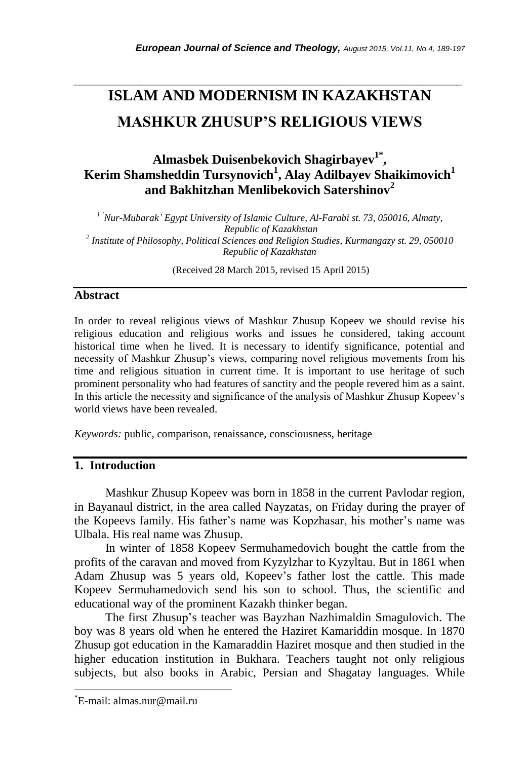# **ISLAM AND MODERNISM IN KAZAKHSTAN MASHKUR ZHUSUP'S RELIGIOUS VIEWS**

*\_\_\_\_\_\_\_\_\_\_\_\_\_\_\_\_\_\_\_\_\_\_\_\_\_\_\_\_\_\_\_\_\_\_\_\_\_\_\_\_\_\_\_\_\_\_\_\_\_\_\_\_\_\_\_\_\_\_\_\_\_\_\_\_\_\_\_\_\_\_\_*

## **Almasbek Duisenbekovich Shagirbayev 1\* , Kerim Shamsheddin Tursynovich<sup>1</sup> , Alay Adilbayev Shaikimovich<sup>1</sup> and Bakhitzhan Menlibekovich Satershinov<sup>2</sup>**

*1 'Nur-Mubarak' Egypt University of Islamic Culture, Al-Farabi st. 73, 050016, Almaty, Republic of Kazakhstan 2 Institute of Philosophy, Political Sciences and Religion Studies, Kurmangazy st. 29, 050010 Republic of Kazakhstan*

(Received 28 March 2015, revised 15 April 2015)

### **Abstract**

In order to reveal religious views of Mashkur Zhusup Kopeev we should revise his religious education and religious works and issues he considered, taking account historical time when he lived. It is necessary to identify significance, potential and necessity of Mashkur Zhusup"s views, comparing novel religious movements from his time and religious situation in current time. It is important to use heritage of such prominent personality who had features of sanctity and the people revered him as a saint. In this article the necessity and significance of the analysis of Mashkur Zhusup Kopeev"s world views have been revealed.

*Keywords:* public, comparison, renaissance, consciousness, heritage

## **1. Introduction**

Mashkur Zhusup Kopeev was born in 1858 in the current Pavlodar region, in Bayanaul district, in the area called Nayzatas, on Friday during the prayer of the Kopeevs family. His father"s name was Kopzhasar, his mother"s name was Ulbala. His real name was Zhusup.

In winter of 1858 Kopeev Sermuhamedovich bought the cattle from the profits of the caravan and moved from Kyzylzhar to Kyzyltau. But in 1861 when Adam Zhusup was 5 years old, Kopeev"s father lost the cattle. This made Kopeev Sermuhamedovich send his son to school. Thus, the scientific and educational way of the prominent Kazakh thinker began.

The first Zhusup"s teacher was Bayzhan Nazhimaldin Smagulovich. The boy was 8 years old when he entered the Haziret Kamariddin mosque. In 1870 Zhusup got education in the Kamaraddin Haziret mosque and then studied in the higher education institution in Bukhara. Teachers taught not only religious subjects, but also books in Arabic, Persian and Shagatay languages. While

l

<sup>\*</sup>E-mail: almas.nur@mail.ru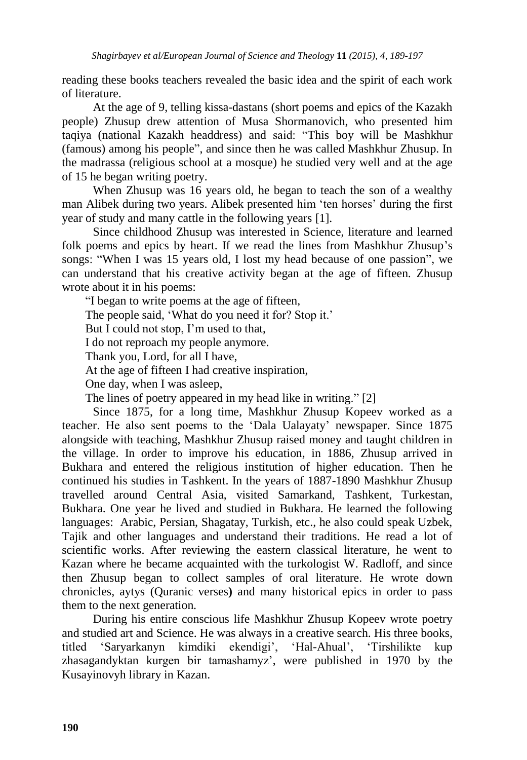reading these books teachers revealed the basic idea and the spirit of each work of literature.

At the age of 9, telling kissa-dastans (short poems and epics of the Kazakh people) Zhusup drew attention of Musa Shormanovich, who presented him taqiya (national Kazakh headdress) and said: "This boy will be Mashkhur (famous) among his people", and since then he was called Mashkhur Zhusup. In the madrassa (religious school at a mosque) he studied very well and at the age of 15 he began writing poetry.

When Zhusup was 16 years old, he began to teach the son of a wealthy man Alibek during two years. Alibek presented him "ten horses" during the first year of study and many cattle in the following years [1].

Since childhood Zhusup was interested in Science, literature and learned folk poems and epics by heart. If we read the lines from Mashkhur Zhusup's songs: "When I was 15 years old, I lost my head because of one passion", we can understand that his creative activity began at the age of fifteen. Zhusup wrote about it in his poems:

"I began to write poems at the age of fifteen,

The people said, 'What do you need it for? Stop it.'

But I could not stop, I'm used to that,

I do not reproach my people anymore.

Thank you, Lord, for all I have,

At the age of fifteen I had creative inspiration,

One day, when I was asleep,

The lines of poetry appeared in my head like in writing." [2]

Since 1875, for a long time, Mashkhur Zhusup Kopeev worked as a teacher. He also sent poems to the "Dala Ualayaty" newspaper. Since 1875 alongside with teaching, Mashkhur Zhusup raised money and taught children in the village. In order to improve his education, in 1886, Zhusup arrived in Bukhara and entered the religious institution of higher education. Then he continued his studies in Tashkent. In the years of 1887-1890 Mashkhur Zhusup travelled around Central Asia, visited Samarkand, Tashkent, Turkestan, Bukhara. One year he lived and studied in Bukhara. He learned the following languages: Arabic, Persian, Shagatay, Turkish, etc., he also could speak Uzbek, Tajik and other languages and understand their traditions. He read a lot of scientific works. After reviewing the eastern classical literature, he went to Kazan where he became acquainted with the turkologist W. Radloff, and since then Zhusup began to collect samples of oral literature. He wrote down chronicles, aytys (Quranic verses**)** and many historical epics in order to pass them to the next generation.

During his entire conscious life Mashkhur Zhusup Kopeev wrote poetry and studied art and Science. He was always in a creative search. His three books, titled "Saryarkanyn kіmdіkі ekendіgі", "Hal-Ahual", "Tіrshіlіkte kup zhasagandyktan kurgen bir tamashamyz", were published in 1970 by the Kusayinovyh library in Kazan.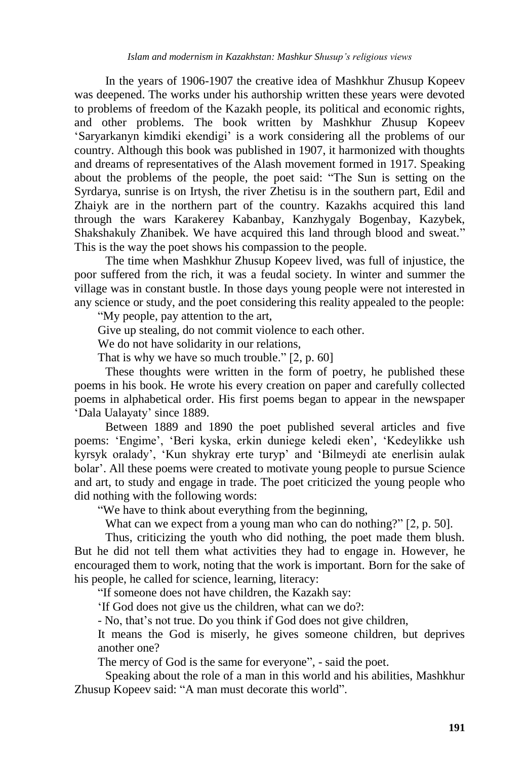In the years of 1906-1907 the creative idea of Mashkhur Zhusup Kopeev was deepened. The works under his authorship written these years were devoted to problems of freedom of the Kazakh people, its political and economic rights, and other problems. The book written by Mashkhur Zhusup Kopeev "Saryarkanyn kіmdіkі ekendіgі" is a work considering all the problems of our country. Although this book was published in 1907, it harmonized with thoughts and dreams of representatives of the Alash movement formed in 1917. Speaking about the problems of the people, the poet said: "The Sun is setting on the Syrdarya, sunrise is on Irtysh, the river Zhetisu is in the southern part, Edil and Zhaiyk are in the northern part of the country. Kazakhs acquired this land through the wars Karakerey Kabanbay, Kanzhygaly Bogenbay, Kazybek, Shakshakuly Zhanibek. We have acquired this land through blood and sweat." This is the way the poet shows his compassion to the people.

The time when Mashkhur Zhusup Kopeev lived, was full of injustice, the poor suffered from the rich, it was a feudal society. In winter and summer the village was in constant bustle. In those days young people were not interested in any science or study, and the poet considering this reality appealed to the people:

"My people, pay attention to the art,

Give up stealing, do not commit violence to each other.

We do not have solidarity in our relations,

That is why we have so much trouble." [2, p. 60]

These thoughts were written in the form of poetry, he published these poems in his book. He wrote his every creation on paper and carefully collected poems in alphabetical order. His first poems began to appear in the newspaper "Dala Ualayaty" since 1889.

Between 1889 and 1890 the poet published several articles and five poems: 'Engime', 'Beri kyska, erkin duniege keledi eken', 'Kedeylikke ush kyrsyk oralady", "Kun shykray erte turyp" and "Bіlmeydі ate enerlіsіn aulak bolar". All these poems were created to motivate young people to pursue Science and art, to study and engage in trade. The poet criticized the young people who did nothing with the following words:

"We have to think about everything from the beginning,

What can we expect from a young man who can do nothing?" [2, p. 50].

Thus, criticizing the youth who did nothing, the poet made them blush. But he did not tell them what activities they had to engage in. However, he encouraged them to work, noting that the work is important. Born for the sake of his people, he called for science, learning, literacy:

"If someone does not have children, the Kazakh say:

"If God does not give us the children, what can we do?:

- No, that"s not true. Do you think if God does not give children,

It means the God is miserly, he gives someone children, but deprives another one?

The mercy of God is the same for everyone", - said the poet.

Speaking about the role of a man in this world and his abilities, Mashkhur Zhusup Kopeev said: "A man must decorate this world".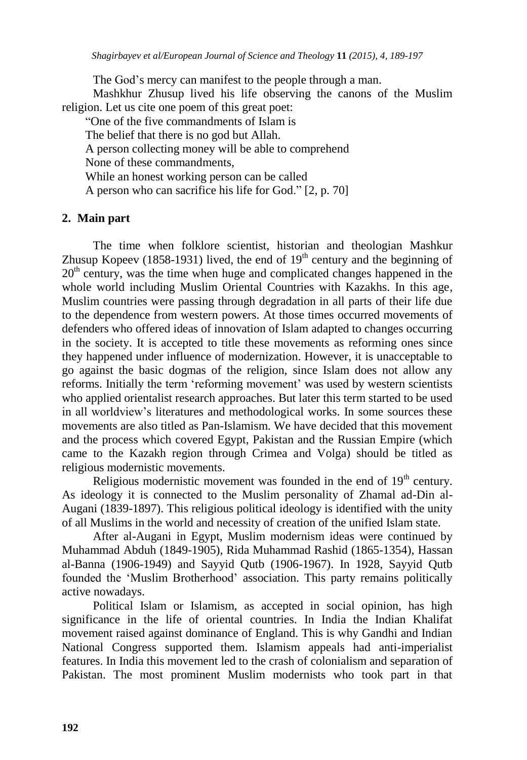The God's mercy can manifest to the people through a man.

Mashkhur Zhusup lived his life observing the canons of the Muslim religion. Let us cite one poem of this great poet:

"One of the five commandments of Islam is The belief that there is no god but Allah. A person collecting money will be able to comprehend None of these commandments, While an honest working person can be called A person who can sacrifice his life for God." [2, p. 70]

## **2. Main part**

The time when folklore scientist, historian and theologian Mashkur Zhusup Kopeev (1858-1931) lived, the end of  $19<sup>th</sup>$  century and the beginning of  $20<sup>th</sup>$  century, was the time when huge and complicated changes happened in the whole world including Muslim Oriental Countries with Kazakhs. In this age, Muslim countries were passing through degradation in all parts of their life due to the dependence from western powers. At those times occurred movements of defenders who offered ideas of innovation of Islam adapted to changes occurring in the society. It is accepted to title these movements as reforming ones since they happened under influence of modernization. However, it is unacceptable to go against the basic dogmas of the religion, since Islam does not allow any reforms. Initially the term 'reforming movement' was used by western scientists who applied orientalist research approaches. But later this term started to be used in all worldview"s literatures and methodological works. In some sources these movements are also titled as Pan-Islamism. We have decided that this movement and the process which covered Egypt, Pakistan and the Russian Empire (which came to the Kazakh region through Crimea and Volga) should be titled as religious modernistic movements.

Religious modernistic movement was founded in the end of  $19<sup>th</sup>$  century. As ideology it is connected to the Muslim personality of Zhamal ad-Din al-Augani (1839-1897). This religious political ideology is identified with the unity of all Muslims in the world and necessity of creation of the unified Islam state.

After al-Augani in Egypt, Muslim modernism ideas were continued by Muhammad Abduh (1849-1905), Rida Muhammad Rashid (1865-1354)*,* Hassan al-Banna (1906-1949) and Sayyid Qutb (1906-1967). In 1928, Sayyid Qutb founded the "Muslim Brotherhood" association. This party remains politically active nowadays.

Political Islam or Islamism, as accepted in social opinion, has high significance in the life of oriental countries. In India the Indian Khalifat movement raised against dominance of England. This is why Gandhi and Indian National Congress supported them. Islamism appeals had anti-imperialist features. In India this movement led to the crash of colonialism and separation of Pakistan. The most prominent Muslim modernists who took part in that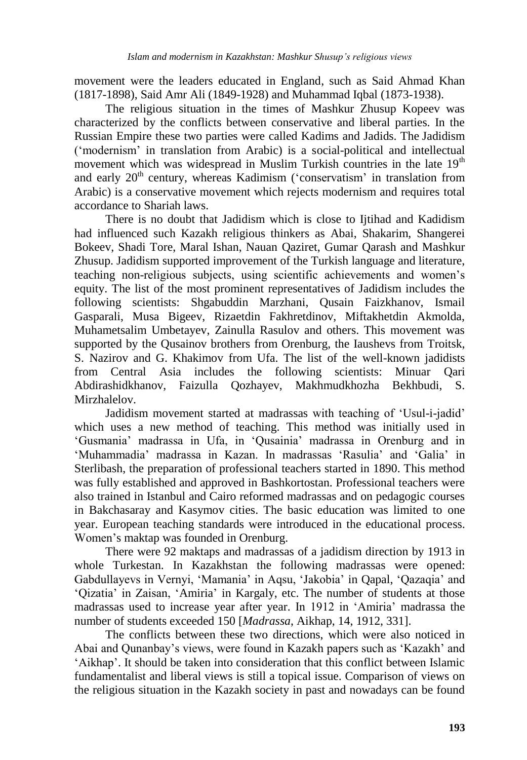movement were the leaders educated in England, such as Said Ahmad Khan (1817-1898), Said Amr Ali (1849-1928) and Muhammad Iqbal (1873-1938).

The religious situation in the times of Mashkur Zhusup Kopeev was characterized by the conflicts between conservative and liberal parties. In the Russian Empire these two parties were called Kadims and Jadids. The Jadidism ("modernism" in translation from Arabic) is a social-political and intellectual movement which was widespread in Muslim Turkish countries in the late  $19<sup>th</sup>$ and early 20<sup>th</sup> century, whereas Kadimism ('conservatism' in translation from Arabic) is a conservative movement which rejects modernism and requires total accordance to Shariah laws.

There is no doubt that Jadidism which is close to Iitihad and Kadidism had influenced such Kazakh religious thinkers as Abai, Shakarim, Shangerei Bokeev, Shadi Tore, Maral Ishan, Nauan Qaziret, Gumar Qarash and Mashkur Zhusup. Jadidism supported improvement of the Turkish language and literature, teaching non-religious subjects, using scientific achievements and women"s equity. The list of the most prominent representatives of Jadidism includes the following scientists: Shgabuddin Marzhani, Qusain Faizkhanov, Ismail Gasparali, Musa Bigeev, Rizaetdin Fakhretdinov, Miftakhetdin Akmolda, Muhametsalim Umbetayev, Zainulla Rasulov and others. This movement was supported by the Qusainov brothers from Orenburg, the Iaushevs from Troitsk, S. Nazirov and G. Khakimov from Ufa. The list of the well-known jadidists from Central Asia includes the following scientists: Minuar Qari Abdirashidkhanov, Faizulla Qozhayev, Makhmudkhozha Bekhbudi, S. Mirzhalelov.

Jadidism movement started at madrassas with teaching of "Usul-i-jadid" which uses a new method of teaching. This method was initially used in "Gusmania" madrassa in Ufa, in "Qusainia" madrassa in Orenburg and in "Muhammadia" madrassa in Kazan. In madrassas "Rasulia" and "Galia" in Sterlibash, the preparation of professional teachers started in 1890. This method was fully established and approved in Bashkortostan. Professional teachers were also trained in Istanbul and Cairo reformed madrassas and on pedagogic courses in Bakchasaray and Kasymov cities. The basic education was limited to one year. European teaching standards were introduced in the educational process. Women"s maktap was founded in Orenburg.

There were 92 maktaps and madrassas of a jadidism direction by 1913 in whole Turkestan. In Kazakhstan the following madrassas were opened: Gabdullayevs in Vernyi, "Mamania" in Aqsu, "Jakobia" in Qapal, "Qazaqia" and 'Qizatia' in Zaisan, 'Amiria' in Kargaly, etc. The number of students at those madrassas used to increase year after year. In 1912 in "Amiria" madrassa the number of students exceeded 150 [*Madrassa*, Aikhap, 14, 1912, 331].

The conflicts between these two directions, which were also noticed in Abai and Qunanbay"s views, were found in Kazakh papers such as "Kazakh" and 'Aikhap'. It should be taken into consideration that this conflict between Islamic fundamentalist and liberal views is still a topical issue. Comparison of views on the religious situation in the Kazakh society in past and nowadays can be found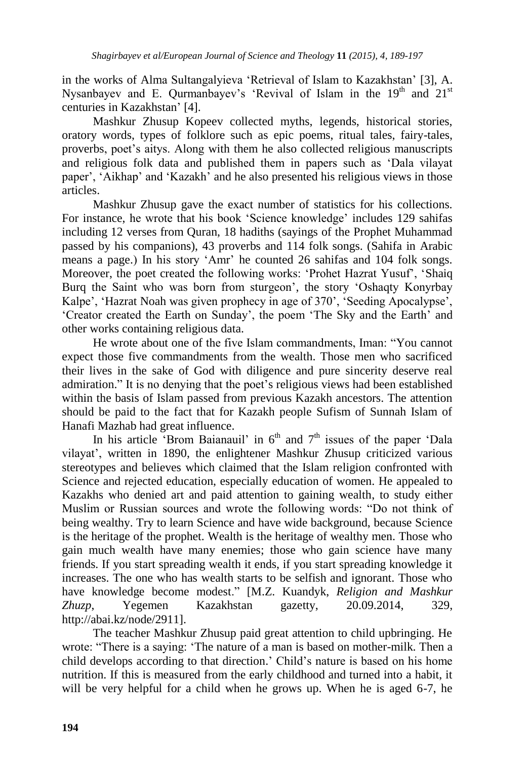in the works of Alma Sultangalyieva 'Retrieval of Islam to Kazakhstan' [3], A. Nysanbayev and E. Qurmanbayev's 'Revival of Islam in the  $19<sup>th</sup>$  and  $21<sup>st</sup>$ centuries in Kazakhstan" [4].

Mashkur Zhusup Kopeev collected myths, legends, historical stories, oratory words, types of folklore such as epic poems, ritual tales, fairy-tales, proverbs, poet"s aitys. Along with them he also collected religious manuscripts and religious folk data and published them in papers such as "Dala vilayat paper", "Aikhap" and "Kazakh" and he also presented his religious views in those articles.

Mashkur Zhusup gave the exact number of statistics for his collections. For instance, he wrote that his book "Science knowledge" includes 129 sahifas including 12 verses from Quran, 18 hadiths (sayings of the Prophet Muhammad passed by his companions), 43 proverbs and 114 folk songs. (Sahifa in Arabic means a page.) In his story "Amr" he counted 26 sahifas and 104 folk songs. Moreover, the poet created the following works: 'Prohet Hazrat Yusuf', 'Shaiq' Burg the Saint who was born from sturgeon', the story 'Oshaqty Konyrbay' Kalpe', 'Hazrat Noah was given prophecy in age of 370', 'Seeding Apocalypse', "Creator created the Earth on Sunday", the poem "The Sky and the Earth" and other works containing religious data.

He wrote about one of the five Islam commandments, Iman: "You cannot expect those five commandments from the wealth. Those men who sacrificed their lives in the sake of God with diligence and pure sincerity deserve real admiration." It is no denying that the poet"s religious views had been established within the basis of Islam passed from previous Kazakh ancestors. The attention should be paid to the fact that for Kazakh people Sufism of Sunnah Islam of Hanafi Mazhab had great influence.

In his article "Brom Baianauil" in  $6<sup>th</sup>$  and  $7<sup>th</sup>$  issues of the paper 'Dala vilayat", written in 1890, the enlightener Mashkur Zhusup criticized various stereotypes and believes which claimed that the Islam religion confronted with Science and rejected education, especially education of women. He appealed to Kazakhs who denied art and paid attention to gaining wealth, to study either Muslim or Russian sources and wrote the following words: "Do not think of being wealthy. Try to learn Science and have wide background, because Science is the heritage of the prophet. Wealth is the heritage of wealthy men. Those who gain much wealth have many enemies; those who gain science have many friends. If you start spreading wealth it ends, if you start spreading knowledge it increases. The one who has wealth starts to be selfish and ignorant. Those who have knowledge become modest." [M.Z. Kuandyk, *Religion and Mashkur Zhuzp*, Yegemen Kazakhstan gazetty, 20.09.2014, 329, [http://abai.kz/node/2911\]](http://abai.kz/node/2911).

The teacher Mashkur Zhusup paid great attention to child upbringing. He wrote: "There is a saying: "The nature of a man is based on mother-milk. Then a child develops according to that direction." Child"s nature is based on his home nutrition. If this is measured from the early childhood and turned into a habit, it will be very helpful for a child when he grows up. When he is aged 6-7, he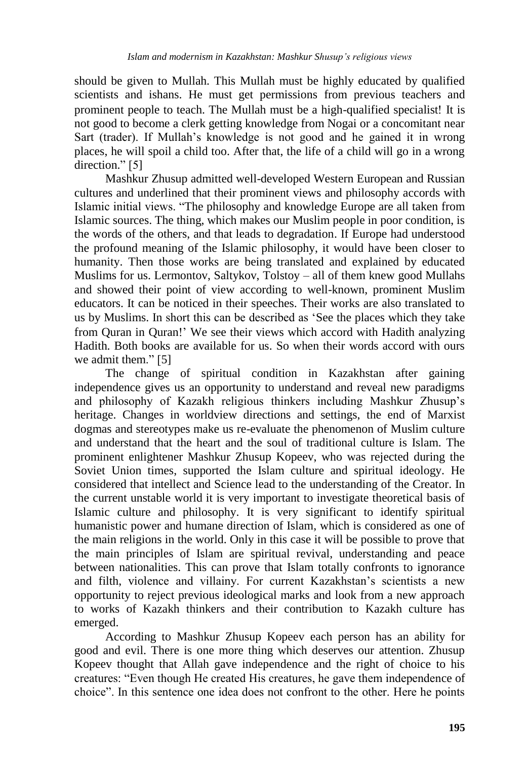should be given to Mullah. This Mullah must be highly educated by qualified scientists and ishans. He must get permissions from previous teachers and prominent people to teach. The Mullah must be a high-qualified specialist! It is not good to become a clerk getting knowledge from Nogai or a concomitant near Sart (trader). If Mullah's knowledge is not good and he gained it in wrong places, he will spoil a child too. After that, the life of a child will go in a wrong direction." [5]

Mashkur Zhusup admitted well-developed Western European and Russian cultures and underlined that their prominent views and philosophy accords with Islamic initial views. "The philosophy and knowledge Europe are all taken from Islamic sources. The thing, which makes our Muslim people in poor condition, is the words of the others, and that leads to degradation. If Europe had understood the profound meaning of the Islamic philosophy, it would have been closer to humanity. Then those works are being translated and explained by educated Muslims for us. Lermontov, Saltykov, Tolstoy – all of them knew good Mullahs and showed their point of view according to well-known, prominent Muslim educators. It can be noticed in their speeches. Their works are also translated to us by Muslims. In short this can be described as "See the places which they take from Ouran in Ouran!' We see their views which accord with Hadith analyzing Hadith. Both books are available for us. So when their words accord with ours we admit them." [5]

The change of spiritual condition in Kazakhstan after gaining independence gives us an opportunity to understand and reveal new paradigms and philosophy of Kazakh religious thinkers including Mashkur Zhusup"s heritage. Changes in worldview directions and settings, the end of Marxist dogmas and stereotypes make us re-evaluate the phenomenon of Muslim culture and understand that the heart and the soul of traditional culture is Islam. The prominent enlightener Mashkur Zhusup Kopeev, who was rejected during the Soviet Union times, supported the Islam culture and spiritual ideology. He considered that intellect and Science lead to the understanding of the Creator. In the current unstable world it is very important to investigate theoretical basis of Islamic culture and philosophy. It is very significant to identify spiritual humanistic power and humane direction of Islam, which is considered as one of the main religions in the world. Only in this case it will be possible to prove that the main principles of Islam are spiritual revival, understanding and peace between nationalities. This can prove that Islam totally confronts to ignorance and filth, violence and villainy. For current Kazakhstan's scientists a new opportunity to reject previous ideological marks and look from a new approach to works of Kazakh thinkers and their contribution to Kazakh culture has emerged.

According to Mashkur Zhusup Kopeev each person has an ability for good and evil. There is one more thing which deserves our attention. Zhusup Kopeev thought that Allah gave independence and the right of choice to his creatures: "Even though He created His creatures, he gave them independence of choice". In this sentence one idea does not confront to the other. Here he points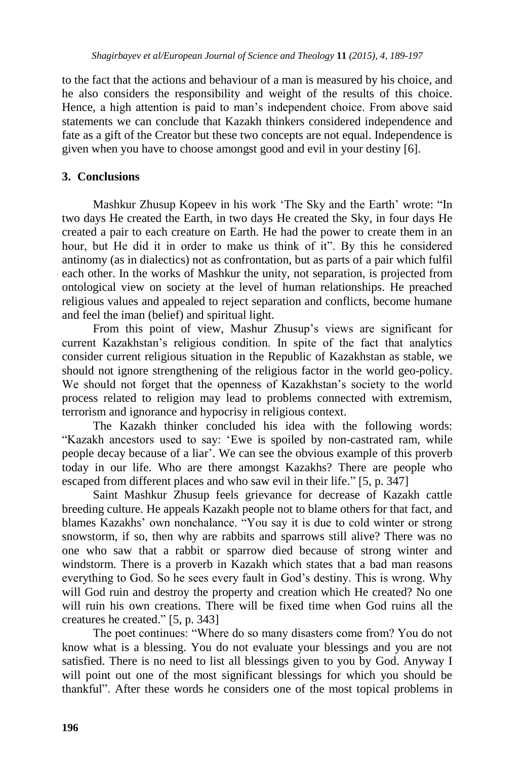to the fact that the actions and behaviour of a man is measured by his choice, and he also considers the responsibility and weight of the results of this choice. Hence, a high attention is paid to man's independent choice. From above said statements we can conclude that Kazakh thinkers considered independence and fate as a gift of the Creator but these two concepts are not equal. Independence is given when you have to choose amongst good and evil in your destiny [6].

### **3. Conclusions**

Mashkur Zhusup Kopeev in his work "The Sky and the Earth" wrote: "In two days He created the Earth, in two days He created the Sky, in four days He created a pair to each creature on Earth. He had the power to create them in an hour, but He did it in order to make us think of it". By this he considered antinomy (as in dialectics) not as confrontation, but as parts of a pair which fulfil each other. In the works of Mashkur the unity, not separation, is projected from ontological view on society at the level of human relationships. He preached religious values and appealed to reject separation and conflicts, become humane and feel the iman (belief) and spiritual light.

From this point of view, Mashur Zhusup's views are significant for current Kazakhstan"s religious condition. In spite of the fact that analytics consider current religious situation in the Republic of Kazakhstan as stable, we should not ignore strengthening of the religious factor in the world geo-policy. We should not forget that the openness of Kazakhstan's society to the world process related to religion may lead to problems connected with extremism, terrorism and ignorance and hypocrisy in religious context.

The Kazakh thinker concluded his idea with the following words: "Kazakh ancestors used to say: "Ewe is spoiled by non-castrated ram, while people decay because of a liar". We can see the obvious example of this proverb today in our life. Who are there amongst Kazakhs? There are people who escaped from different places and who saw evil in their life." [5, p. 347]

Saint Mashkur Zhusup feels grievance for decrease of Kazakh cattle breeding culture. He appeals Kazakh people not to blame others for that fact, and blames Kazakhs" own nonchalance. "You say it is due to cold winter or strong snowstorm, if so, then why are rabbits and sparrows still alive? There was no one who saw that a rabbit or sparrow died because of strong winter and windstorm. There is a proverb in Kazakh which states that a bad man reasons everything to God. So he sees every fault in God"s destiny. This is wrong. Why will God ruin and destroy the property and creation which He created? No one will ruin his own creations. There will be fixed time when God ruins all the creatures he created." [5, p. 343]

The poet continues: "Where do so many disasters come from? You do not know what is a blessing. You do not evaluate your blessings and you are not satisfied. There is no need to list all blessings given to you by God. Anyway I will point out one of the most significant blessings for which you should be thankful". After these words he considers one of the most topical problems in